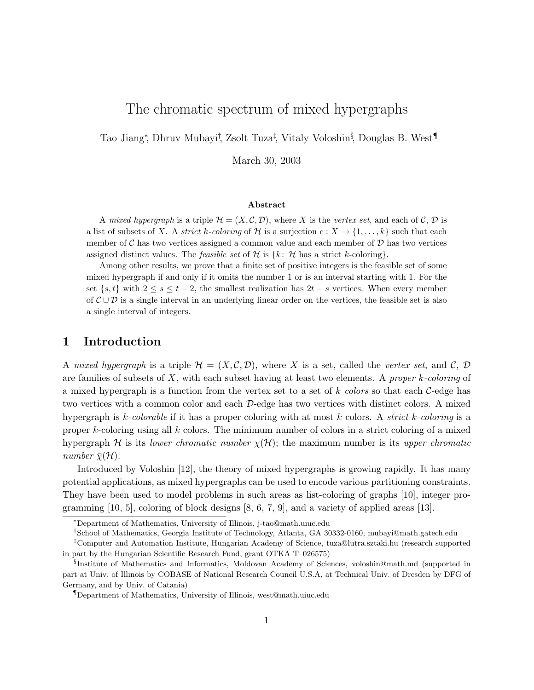# The chromatic spectrum of mixed hypergraphs

Tao Jiang<sup>∗</sup>, Dhruv Mubayi<sup>†</sup>, Zsolt Tuza<sup>‡</sup>, Vitaly Voloshin<sup>§</sup>, Douglas B. West<sup>¶</sup>

March 30, 2003

#### Abstract

A mixed hypergraph is a triple  $\mathcal{H} = (X, \mathcal{C}, \mathcal{D})$ , where X is the vertex set, and each of  $\mathcal{C}, \mathcal{D}$  is a list of subsets of X. A strict k-coloring of H is a surjection  $c: X \to \{1, \ldots, k\}$  such that each member of  $\mathcal C$  has two vertices assigned a common value and each member of  $\mathcal D$  has two vertices assigned distinct values. The *feasible set* of  $H$  is  $\{k: \mathcal{H}$  has a strict k-coloring.

Among other results, we prove that a finite set of positive integers is the feasible set of some mixed hypergraph if and only if it omits the number 1 or is an interval starting with 1. For the set  $\{s, t\}$  with  $2 \leq s \leq t-2$ , the smallest realization has  $2t - s$  vertices. When every member of  $\mathcal{C} \cup \mathcal{D}$  is a single interval in an underlying linear order on the vertices, the feasible set is also a single interval of integers.

## 1 Introduction

A mixed hypergraph is a triple  $\mathcal{H} = (X, \mathcal{C}, \mathcal{D})$ , where X is a set, called the vertex set, and  $\mathcal{C}, \mathcal{D}$ are families of subsets of  $X$ , with each subset having at least two elements. A *proper k-coloring* of a mixed hypergraph is a function from the vertex set to a set of  $k$  colors so that each  $C$ -edge has two vertices with a common color and each D-edge has two vertices with distinct colors. A mixed hypergraph is k-colorable if it has a proper coloring with at most k colors. A strict k-coloring is a proper  $k$ -coloring using all  $k$  colors. The minimum number of colors in a strict coloring of a mixed hypergraph H is its lower chromatic number  $\chi(\mathcal{H})$ ; the maximum number is its upper chromatic number  $\bar{\chi}(\mathcal{H})$ .

Introduced by Voloshin [12], the theory of mixed hypergraphs is growing rapidly. It has many potential applications, as mixed hypergraphs can be used to encode various partitioning constraints. They have been used to model problems in such areas as list-coloring of graphs [10], integer programming [10, 5], coloring of block designs [8, 6, 7, 9], and a variety of applied areas [13].

<sup>∗</sup>Department of Mathematics, University of Illinois, j-tao@math.uiuc.edu

<sup>†</sup>School of Mathematics, Georgia Institute of Technology, Atlanta, GA 30332-0160, mubayi@math.gatech.edu

<sup>‡</sup>Computer and Automation Institute, Hungarian Academy of Science, tuza@lutra.sztaki.hu (research supported in part by the Hungarian Scientific Research Fund, grant OTKA T–026575)

<sup>§</sup> Institute of Mathematics and Informatics, Moldovan Academy of Sciences, voloshin@math.md (supported in part at Univ. of Illinois by COBASE of National Research Council U.S.A, at Technical Univ. of Dresden by DFG of Germany, and by Univ. of Catania)

<sup>¶</sup>Department of Mathematics, University of Illinois, west@math.uiuc.edu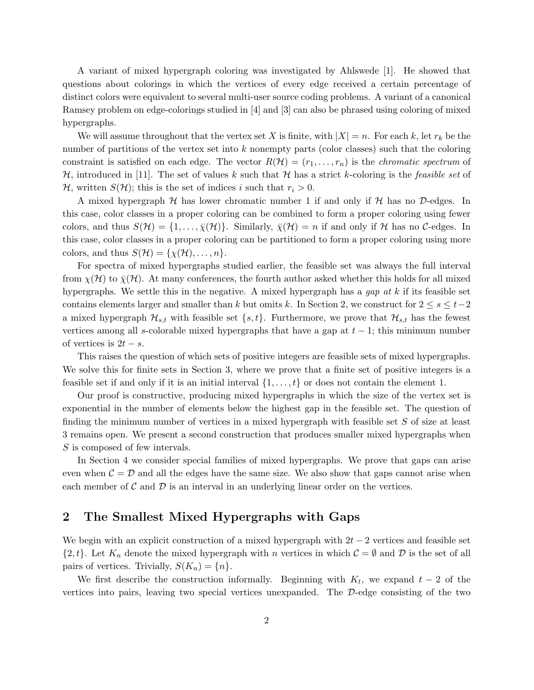A variant of mixed hypergraph coloring was investigated by Ahlswede [1]. He showed that questions about colorings in which the vertices of every edge received a certain percentage of distinct colors were equivalent to several multi-user source coding problems. A variant of a canonical Ramsey problem on edge-colorings studied in [4] and [3] can also be phrased using coloring of mixed hypergraphs.

We will assume throughout that the vertex set X is finite, with  $|X| = n$ . For each k, let  $r_k$  be the number of partitions of the vertex set into  $k$  nonempty parts (color classes) such that the coloring constraint is satisfied on each edge. The vector  $R(\mathcal{H}) = (r_1, \ldots, r_n)$  is the *chromatic spectrum* of  $\mathcal{H}$ , introduced in [11]. The set of values k such that  $\mathcal{H}$  has a strict k-coloring is the *feasible set* of H, written  $S(\mathcal{H})$ ; this is the set of indices i such that  $r_i > 0$ .

A mixed hypergraph  $H$  has lower chromatic number 1 if and only if  $H$  has no  $D$ -edges. In this case, color classes in a proper coloring can be combined to form a proper coloring using fewer colors, and thus  $S(\mathcal{H}) = \{1, \ldots, \bar{\chi}(\mathcal{H})\}.$  Similarly,  $\bar{\chi}(\mathcal{H}) = n$  if and only if H has no C-edges. In this case, color classes in a proper coloring can be partitioned to form a proper coloring using more colors, and thus  $S(\mathcal{H}) = \{\chi(\mathcal{H}), \ldots, n\}.$ 

For spectra of mixed hypergraphs studied earlier, the feasible set was always the full interval from  $\chi(\mathcal{H})$  to  $\bar{\chi}(\mathcal{H})$ . At many conferences, the fourth author asked whether this holds for all mixed hypergraphs. We settle this in the negative. A mixed hypergraph has a gap at  $k$  if its feasible set contains elements larger and smaller than k but omits k. In Section 2, we construct for  $2 \leq s \leq t-2$ a mixed hypergraph  $\mathcal{H}_{s,t}$  with feasible set  $\{s,t\}$ . Furthermore, we prove that  $\mathcal{H}_{s,t}$  has the fewest vertices among all s-colorable mixed hypergraphs that have a gap at  $t - 1$ ; this minimum number of vertices is  $2t - s$ .

This raises the question of which sets of positive integers are feasible sets of mixed hypergraphs. We solve this for finite sets in Section 3, where we prove that a finite set of positive integers is a feasible set if and only if it is an initial interval  $\{1, \ldots, t\}$  or does not contain the element 1.

Our proof is constructive, producing mixed hypergraphs in which the size of the vertex set is exponential in the number of elements below the highest gap in the feasible set. The question of finding the minimum number of vertices in a mixed hypergraph with feasible set  $S$  of size at least 3 remains open. We present a second construction that produces smaller mixed hypergraphs when S is composed of few intervals.

In Section 4 we consider special families of mixed hypergraphs. We prove that gaps can arise even when  $\mathcal{C} = \mathcal{D}$  and all the edges have the same size. We also show that gaps cannot arise when each member of  $\mathcal C$  and  $\mathcal D$  is an interval in an underlying linear order on the vertices.

### 2 The Smallest Mixed Hypergraphs with Gaps

We begin with an explicit construction of a mixed hypergraph with  $2t - 2$  vertices and feasible set  $\{2, t\}$ . Let  $K_n$  denote the mixed hypergraph with n vertices in which  $\mathcal{C} = \emptyset$  and  $\mathcal{D}$  is the set of all pairs of vertices. Trivially,  $S(K_n) = \{n\}.$ 

We first describe the construction informally. Beginning with  $K_t$ , we expand  $t-2$  of the vertices into pairs, leaving two special vertices unexpanded. The D-edge consisting of the two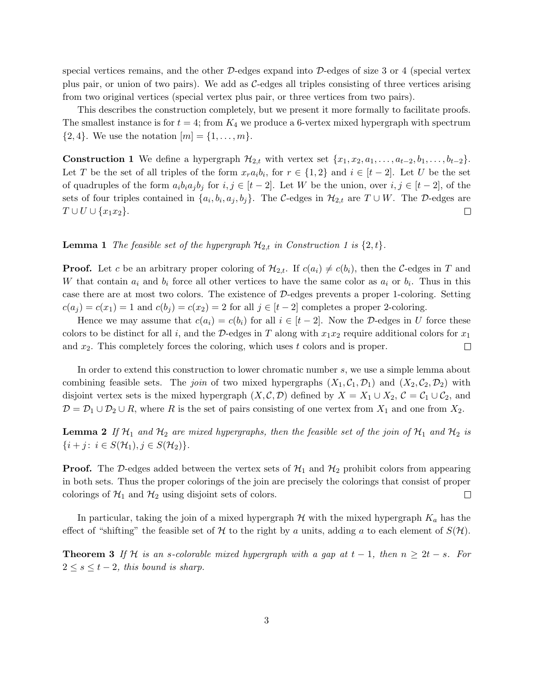special vertices remains, and the other  $D$ -edges expand into  $D$ -edges of size 3 or 4 (special vertex plus pair, or union of two pairs). We add as  $C$ -edges all triples consisting of three vertices arising from two original vertices (special vertex plus pair, or three vertices from two pairs).

This describes the construction completely, but we present it more formally to facilitate proofs. The smallest instance is for  $t = 4$ ; from  $K_4$  we produce a 6-vertex mixed hypergraph with spectrum  ${2, 4}$ . We use the notation  $[m] = {1, ..., m}$ .

**Construction 1** We define a hypergraph  $\mathcal{H}_{2,t}$  with vertex set  $\{x_1, x_2, a_1, \ldots, a_{t-2}, b_1, \ldots, b_{t-2}\}.$ Let T be the set of all triples of the form  $x_ra_ib_i$ , for  $r \in \{1,2\}$  and  $i \in [t-2]$ . Let U be the set of quadruples of the form  $a_i b_i a_j b_j$  for  $i, j \in [t-2]$ . Let W be the union, over  $i, j \in [t-2]$ , of the sets of four triples contained in  $\{a_i, b_i, a_j, b_j\}$ . The C-edges in  $\mathcal{H}_{2,t}$  are  $T \cup W$ . The D-edges are  $T \cup U \cup \{x_1x_2\}.$  $\Box$ 

#### **Lemma 1** The feasible set of the hypergraph  $\mathcal{H}_{2,t}$  in Construction 1 is  $\{2,t\}$ .

**Proof.** Let c be an arbitrary proper coloring of  $\mathcal{H}_{2,t}$ . If  $c(a_i) \neq c(b_i)$ , then the C-edges in T and W that contain  $a_i$  and  $b_i$  force all other vertices to have the same color as  $a_i$  or  $b_i$ . Thus in this case there are at most two colors. The existence of  $D$ -edges prevents a proper 1-coloring. Setting  $c(a_i) = c(x_1) = 1$  and  $c(b_i) = c(x_2) = 2$  for all  $j \in [t-2]$  completes a proper 2-coloring.

Hence we may assume that  $c(a_i) = c(b_i)$  for all  $i \in [t-2]$ . Now the D-edges in U force these colors to be distinct for all i, and the D-edges in T along with  $x_1x_2$  require additional colors for  $x_1$ and  $x_2$ . This completely forces the coloring, which uses t colors and is proper.  $\Box$ 

In order to extend this construction to lower chromatic number s, we use a simple lemma about combining feasible sets. The *join* of two mixed hypergraphs  $(X_1, C_1, D_1)$  and  $(X_2, C_2, D_2)$  with disjoint vertex sets is the mixed hypergraph  $(X, \mathcal{C}, \mathcal{D})$  defined by  $X = X_1 \cup X_2, \mathcal{C} = \mathcal{C}_1 \cup \mathcal{C}_2$ , and  $\mathcal{D} = \mathcal{D}_1 \cup \mathcal{D}_2 \cup R$ , where R is the set of pairs consisting of one vertex from  $X_1$  and one from  $X_2$ .

**Lemma 2** If  $H_1$  and  $H_2$  are mixed hypergraphs, then the feasible set of the join of  $H_1$  and  $H_2$  is  $\{i + j \colon\, i \in S(\mathcal{H}_1), j \in S(\mathcal{H}_2)\}.$ 

**Proof.** The D-edges added between the vertex sets of  $\mathcal{H}_1$  and  $\mathcal{H}_2$  prohibit colors from appearing in both sets. Thus the proper colorings of the join are precisely the colorings that consist of proper colorings of  $\mathcal{H}_1$  and  $\mathcal{H}_2$  using disjoint sets of colors.  $\Box$ 

In particular, taking the join of a mixed hypergraph  $\mathcal H$  with the mixed hypergraph  $K_a$  has the effect of "shifting" the feasible set of H to the right by a units, adding a to each element of  $S(\mathcal{H})$ .

**Theorem 3** If H is an s-colorable mixed hypergraph with a gap at  $t - 1$ , then  $n \geq 2t - s$ . For  $2 \leq s \leq t-2$ , this bound is sharp.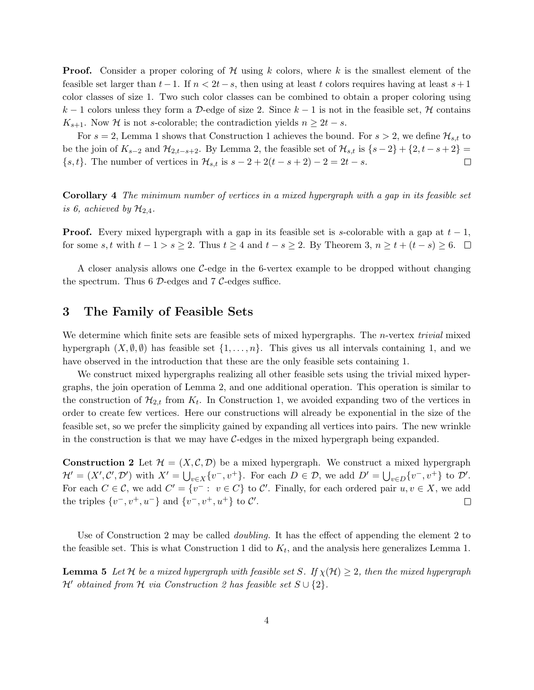**Proof.** Consider a proper coloring of  $\mathcal H$  using k colors, where k is the smallest element of the feasible set larger than  $t-1$ . If  $n < 2t-s$ , then using at least t colors requires having at least  $s+1$ color classes of size 1. Two such color classes can be combined to obtain a proper coloring using k − 1 colors unless they form a D-edge of size 2. Since k − 1 is not in the feasible set, H contains  $K_{s+1}$ . Now H is not s-colorable; the contradiction yields  $n \geq 2t - s$ .

For  $s = 2$ , Lemma 1 shows that Construction 1 achieves the bound. For  $s > 2$ , we define  $\mathcal{H}_{s,t}$  to be the join of  $K_{s-2}$  and  $\mathcal{H}_{2,t-s+2}$ . By Lemma 2, the feasible set of  $\mathcal{H}_{s,t}$  is  $\{s-2\}+\{2,t-s+2\}$  $\{s, t\}$ . The number of vertices in  $\mathcal{H}_{s,t}$  is  $s - 2 + 2(t - s + 2) - 2 = 2t - s$ .  $\Box$ 

Corollary 4 The minimum number of vertices in a mixed hypergraph with a gap in its feasible set is 6, achieved by  $\mathcal{H}_{2,4}$ .

**Proof.** Every mixed hypergraph with a gap in its feasible set is s-colorable with a gap at  $t - 1$ , for some s, t with  $t - 1 > s \ge 2$ . Thus  $t \ge 4$  and  $t - s \ge 2$ . By Theorem 3,  $n \ge t + (t - s) \ge 6$ .  $\Box$ 

A closer analysis allows one C-edge in the 6-vertex example to be dropped without changing the spectrum. Thus 6  $\mathcal{D}\text{-edges}$  and 7  $\mathcal{C}\text{-edges}$  suffice.

### 3 The Family of Feasible Sets

We determine which finite sets are feasible sets of mixed hypergraphs. The *n*-vertex *trivial* mixed hypergraph  $(X, \emptyset, \emptyset)$  has feasible set  $\{1, \ldots, n\}$ . This gives us all intervals containing 1, and we have observed in the introduction that these are the only feasible sets containing 1.

We construct mixed hypergraphs realizing all other feasible sets using the trivial mixed hypergraphs, the join operation of Lemma 2, and one additional operation. This operation is similar to the construction of  $\mathcal{H}_{2,t}$  from  $K_t$ . In Construction 1, we avoided expanding two of the vertices in order to create few vertices. Here our constructions will already be exponential in the size of the feasible set, so we prefer the simplicity gained by expanding all vertices into pairs. The new wrinkle in the construction is that we may have  $C$ -edges in the mixed hypergraph being expanded.

**Construction 2** Let  $\mathcal{H} = (X, \mathcal{C}, \mathcal{D})$  be a mixed hypergraph. We construct a mixed hypergraph  $\mathcal{H}' = (X', \mathcal{C}', \mathcal{D}')$  with  $X' = \bigcup_{v \in X} \{v^-, v^+\}$ . For each  $D \in \mathcal{D}$ , we add  $D' = \bigcup_{v \in D} \{v^-, v^+\}$  to  $\mathcal{D}'$ . For each  $C \in \mathcal{C}$ , we add  $C' = \{v^- : v \in C\}$  to  $\mathcal{C}'$ . Finally, for each ordered pair  $u, v \in X$ , we add the triples  $\{v^-, v^+, u^-\}$  and  $\{v^-, v^+, u^+\}$  to  $\mathcal{C}'$ .  $\Box$ 

Use of Construction 2 may be called *doubling*. It has the effect of appending the element 2 to the feasible set. This is what Construction 1 did to  $K_t$ , and the analysis here generalizes Lemma 1.

**Lemma 5** Let H be a mixed hypergraph with feasible set S. If  $\chi(\mathcal{H}) \geq 2$ , then the mixed hypergraph H' obtained from H via Construction 2 has feasible set  $S \cup \{2\}$ .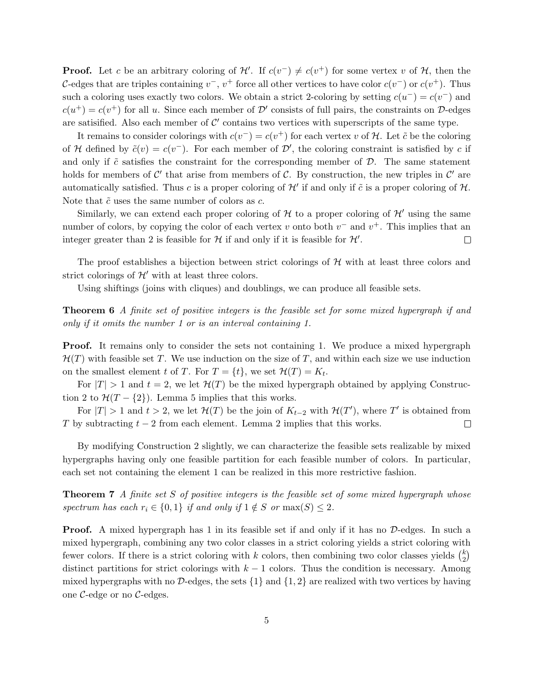**Proof.** Let c be an arbitrary coloring of  $\mathcal{H}'$ . If  $c(v^{-}) \neq c(v^{+})$  for some vertex v of  $\mathcal{H}$ , then the C-edges that are triples containing  $v^-, v^+$  force all other vertices to have color  $c(v^-)$  or  $c(v^+)$ . Thus such a coloring uses exactly two colors. We obtain a strict 2-coloring by setting  $c(u^-) = c(v^-)$  and  $c(u^+) = c(v^+)$  for all u. Since each member of  $\mathcal{D}'$  consists of full pairs, the constraints on  $\mathcal{D}$ -edges are satisified. Also each member of  $\mathcal{C}'$  contains two vertices with superscripts of the same type.

It remains to consider colorings with  $c(v^-) = c(v^+)$  for each vertex v of H. Let  $\tilde{c}$  be the coloring of H defined by  $\tilde{c}(v) = c(v^{-})$ . For each member of D', the coloring constraint is satisfied by c if and only if  $\tilde{c}$  satisfies the constraint for the corresponding member of  $\mathcal{D}$ . The same statement holds for members of C' that arise from members of C. By construction, the new triples in C' are automatically satisfied. Thus c is a proper coloring of  $\mathcal{H}'$  if and only if  $\tilde{c}$  is a proper coloring of  $\mathcal{H}$ . Note that  $\tilde{c}$  uses the same number of colors as  $c$ .

Similarly, we can extend each proper coloring of  $H$  to a proper coloring of  $H'$  using the same number of colors, by copying the color of each vertex v onto both  $v^-$  and  $v^+$ . This implies that an integer greater than 2 is feasible for  $\mathcal H$  if and only if it is feasible for  $\mathcal H'$ .  $\Box$ 

The proof establishes a bijection between strict colorings of  $H$  with at least three colors and strict colorings of  $\mathcal{H}'$  with at least three colors.

Using shiftings (joins with cliques) and doublings, we can produce all feasible sets.

Theorem 6 A finite set of positive integers is the feasible set for some mixed hypergraph if and only if it omits the number 1 or is an interval containing 1.

**Proof.** It remains only to consider the sets not containing 1. We produce a mixed hypergraph  $\mathcal{H}(T)$  with feasible set T. We use induction on the size of T, and within each size we use induction on the smallest element t of T. For  $T = \{t\}$ , we set  $\mathcal{H}(T) = K_t$ .

For  $|T| > 1$  and  $t = 2$ , we let  $\mathcal{H}(T)$  be the mixed hypergraph obtained by applying Construction 2 to  $\mathcal{H}(T - \{2\})$ . Lemma 5 implies that this works.

For  $|T| > 1$  and  $t > 2$ , we let  $\mathcal{H}(T)$  be the join of  $K_{t-2}$  with  $\mathcal{H}(T')$ , where T' is obtained from T by subtracting  $t - 2$  from each element. Lemma 2 implies that this works.  $\Box$ 

By modifying Construction 2 slightly, we can characterize the feasible sets realizable by mixed hypergraphs having only one feasible partition for each feasible number of colors. In particular, each set not containing the element 1 can be realized in this more restrictive fashion.

**Theorem 7** A finite set S of positive integers is the feasible set of some mixed hypergraph whose spectrum has each  $r_i \in \{0,1\}$  if and only if  $1 \notin S$  or  $\max(S) \leq 2$ .

**Proof.** A mixed hypergraph has 1 in its feasible set if and only if it has no D-edges. In such a mixed hypergraph, combining any two color classes in a strict coloring yields a strict coloring with fewer colors. If there is a strict coloring with k colors, then combining two color classes yields  $\binom{k}{2}$  $\binom{k}{2}$ distinct partitions for strict colorings with  $k - 1$  colors. Thus the condition is necessary. Among mixed hypergraphs with no D-edges, the sets  $\{1\}$  and  $\{1, 2\}$  are realized with two vertices by having one  $\mathcal{C}$ -edge or no  $\mathcal{C}$ -edges.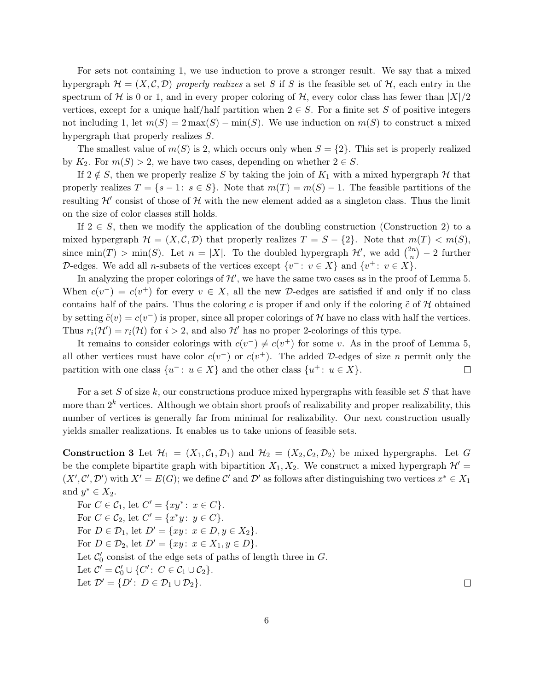For sets not containing 1, we use induction to prove a stronger result. We say that a mixed hypergraph  $\mathcal{H} = (X, \mathcal{C}, \mathcal{D})$  properly realizes a set S if S is the feasible set of  $\mathcal{H}$ , each entry in the spectrum of H is 0 or 1, and in every proper coloring of H, every color class has fewer than  $|X|/2$ vertices, except for a unique half/half partition when  $2 \in S$ . For a finite set S of positive integers not including 1, let  $m(S) = 2 \max(S) - \min(S)$ . We use induction on  $m(S)$  to construct a mixed hypergraph that properly realizes S.

The smallest value of  $m(S)$  is 2, which occurs only when  $S = \{2\}$ . This set is properly realized by  $K_2$ . For  $m(S) > 2$ , we have two cases, depending on whether  $2 \in S$ .

If  $2 \notin S$ , then we properly realize S by taking the join of  $K_1$  with a mixed hypergraph H that properly realizes  $T = \{s - 1: s \in S\}$ . Note that  $m(T) = m(S) - 1$ . The feasible partitions of the resulting  $\mathcal{H}'$  consist of those of  $\mathcal H$  with the new element added as a singleton class. Thus the limit on the size of color classes still holds.

If  $2 \in S$ , then we modify the application of the doubling construction (Construction 2) to a mixed hypergraph  $\mathcal{H} = (X, \mathcal{C}, \mathcal{D})$  that properly realizes  $T = S - \{2\}$ . Note that  $m(T) < m(S)$ , since min(T) > min(S). Let  $n = |X|$ . To the doubled hypergraph  $\mathcal{H}'$ , we add  $\binom{2n}{n}$  $\binom{2n}{n}$  – 2 further D-edges. We add all n-subsets of the vertices except  $\{v^- : v \in X\}$  and  $\{v^+ : v \in X\}$ .

In analyzing the proper colorings of  $\mathcal{H}'$ , we have the same two cases as in the proof of Lemma 5. When  $c(v^{-}) = c(v^{+})$  for every  $v \in X$ , all the new D-edges are satisfied if and only if no class contains half of the pairs. Thus the coloring c is proper if and only if the coloring  $\tilde{c}$  of H obtained by setting  $\tilde{c}(v) = c(v^{-})$  is proper, since all proper colorings of H have no class with half the vertices. Thus  $r_i(\mathcal{H}') = r_i(\mathcal{H})$  for  $i > 2$ , and also  $\mathcal{H}'$  has no proper 2-colorings of this type.

It remains to consider colorings with  $c(v^-) \neq c(v^+)$  for some v. As in the proof of Lemma 5, all other vertices must have color  $c(v^{-})$  or  $c(v^{+})$ . The added D-edges of size n permit only the partition with one class  $\{u^- : u \in X\}$  and the other class  $\{u^+ : u \in X\}$ .  $\Box$ 

For a set  $S$  of size  $k$ , our constructions produce mixed hypergraphs with feasible set  $S$  that have more than  $2^k$  vertices. Although we obtain short proofs of realizability and proper realizability, this number of vertices is generally far from minimal for realizability. Our next construction usually yields smaller realizations. It enables us to take unions of feasible sets.

**Construction 3** Let  $\mathcal{H}_1 = (X_1, \mathcal{C}_1, \mathcal{D}_1)$  and  $\mathcal{H}_2 = (X_2, \mathcal{C}_2, \mathcal{D}_2)$  be mixed hypergraphs. Let G be the complete bipartite graph with bipartition  $X_1, X_2$ . We construct a mixed hypergraph  $\mathcal{H}'$  =  $(X', \mathcal{C}', \mathcal{D}')$  with  $X' = E(G)$ ; we define  $\mathcal{C}'$  and  $\mathcal{D}'$  as follows after distinguishing two vertices  $x^* \in X_1$ and  $y^* \in X_2$ .

For  $C \in \mathcal{C}_1$ , let  $C' = \{xy^* : x \in C\}$ . For  $C \in \mathcal{C}_2$ , let  $C' = \{x^*y : y \in C\}$ . For  $D \in \mathcal{D}_1$ , let  $D' = \{xy : x \in D, y \in X_2\}.$ For  $D \in \mathcal{D}_2$ , let  $D' = \{xy : x \in X_1, y \in D\}.$ Let  $\mathcal{C}'_0$  $\eta'$  consist of the edge sets of paths of length three in  $G$ . Let  $C' = C'_0 \cup \{C' : C \in C_1 \cup C_2\}.$ Let  $\mathcal{D}' = \{D : D \in \mathcal{D}_1 \cup \mathcal{D}_2\}.$ 

 $\Box$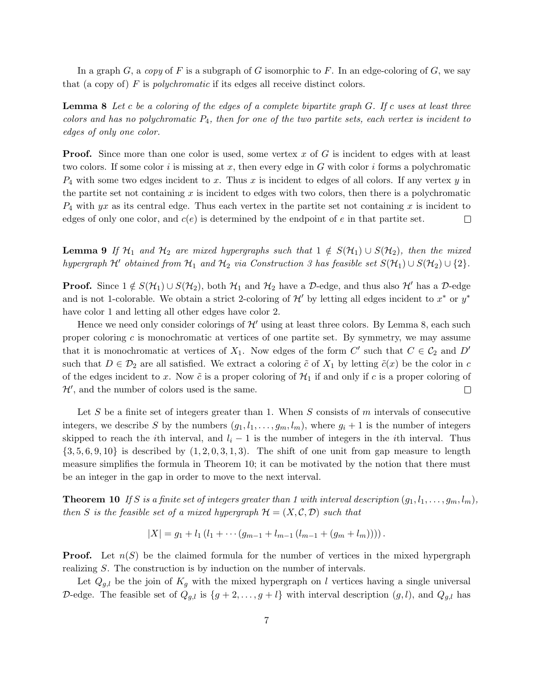In a graph G, a copy of F is a subgraph of G isomorphic to F. In an edge-coloring of G, we say that (a copy of)  $F$  is *polychromatic* if its edges all receive distinct colors.

**Lemma 8** Let c be a coloring of the edges of a complete bipartite graph  $G$ . If c uses at least three colors and has no polychromatic  $P_4$ , then for one of the two partite sets, each vertex is incident to edges of only one color.

**Proof.** Since more than one color is used, some vertex  $x$  of  $G$  is incident to edges with at least two colors. If some color i is missing at x, then every edge in G with color i forms a polychromatic  $P_4$  with some two edges incident to x. Thus x is incident to edges of all colors. If any vertex y in the partite set not containing  $x$  is incident to edges with two colors, then there is a polychromatic  $P_4$  with yx as its central edge. Thus each vertex in the partite set not containing x is incident to edges of only one color, and  $c(e)$  is determined by the endpoint of e in that partite set.  $\Box$ 

**Lemma 9** If  $H_1$  and  $H_2$  are mixed hypergraphs such that  $1 \notin S(H_1) \cup S(H_2)$ , then the mixed hypergraph  $\mathcal{H}'$  obtained from  $\mathcal{H}_1$  and  $\mathcal{H}_2$  via Construction 3 has feasible set  $S(\mathcal{H}_1) \cup S(\mathcal{H}_2) \cup \{2\}$ .

**Proof.** Since  $1 \notin S(\mathcal{H}_1) \cup S(\mathcal{H}_2)$ , both  $\mathcal{H}_1$  and  $\mathcal{H}_2$  have a D-edge, and thus also  $\mathcal{H}'$  has a D-edge and is not 1-colorable. We obtain a strict 2-coloring of  $\mathcal{H}'$  by letting all edges incident to  $x^*$  or  $y^*$ have color 1 and letting all other edges have color 2.

Hence we need only consider colorings of  $\mathcal{H}'$  using at least three colors. By Lemma 8, each such proper coloring c is monochromatic at vertices of one partite set. By symmetry, we may assume that it is monochromatic at vertices of  $X_1$ . Now edges of the form C' such that  $C \in \mathcal{C}_2$  and D' such that  $D \in \mathcal{D}_2$  are all satisfied. We extract a coloring  $\tilde{c}$  of  $X_1$  by letting  $\tilde{c}(x)$  be the color in c of the edges incident to x. Now  $\tilde{c}$  is a proper coloring of  $\mathcal{H}_1$  if and only if c is a proper coloring of  $\mathcal{H}'$ , and the number of colors used is the same.  $\Box$ 

Let S be a finite set of integers greater than 1. When S consists of m intervals of consecutive integers, we describe S by the numbers  $(g_1, l_1, \ldots, g_m, l_m)$ , where  $g_i + 1$  is the number of integers skipped to reach the *i*th interval, and  $l_i - 1$  is the number of integers in the *i*th interval. Thus  $\{3, 5, 6, 9, 10\}$  is described by  $(1, 2, 0, 3, 1, 3)$ . The shift of one unit from gap measure to length measure simplifies the formula in Theorem 10; it can be motivated by the notion that there must be an integer in the gap in order to move to the next interval.

**Theorem 10** If S is a finite set of integers greater than 1 with interval description  $(g_1, l_1, \ldots, g_m, l_m)$ , then S is the feasible set of a mixed hypergraph  $\mathcal{H} = (X, \mathcal{C}, \mathcal{D})$  such that

$$
|X| = g_1 + l_1(l_1 + \cdots (g_{m-1} + l_{m-1} (l_{m-1} + (g_m + l_m))))
$$

**Proof.** Let  $n(S)$  be the claimed formula for the number of vertices in the mixed hypergraph realizing S. The construction is by induction on the number of intervals.

Let  $Q_{g,l}$  be the join of  $K_g$  with the mixed hypergraph on l vertices having a single universal D-edge. The feasible set of  $Q_{g,l}$  is  $\{g+2,\ldots,g+l\}$  with interval description  $(g,l)$ , and  $Q_{g,l}$  has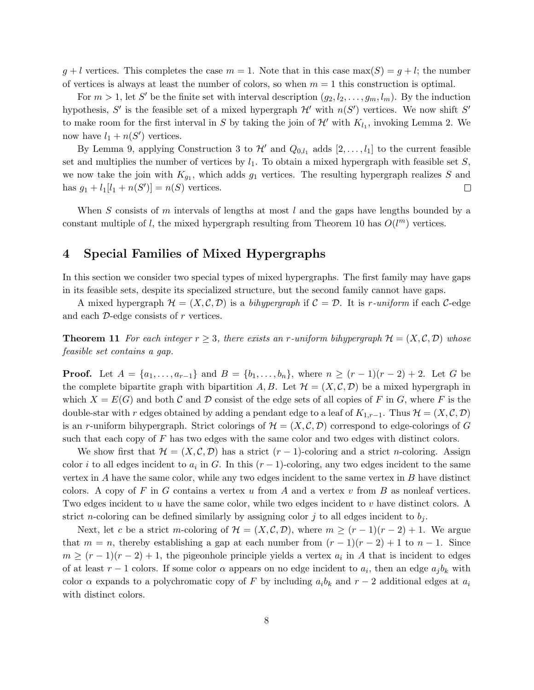$g + l$  vertices. This completes the case  $m = 1$ . Note that in this case max(S) =  $q + l$ ; the number of vertices is always at least the number of colors, so when  $m = 1$  this construction is optimal.

For  $m > 1$ , let S' be the finite set with interval description  $(g_2, l_2, \ldots, g_m, l_m)$ . By the induction hypothesis, S' is the feasible set of a mixed hypergraph  $\mathcal{H}'$  with  $n(S')$  vertices. We now shift S' to make room for the first interval in S by taking the join of  $\mathcal{H}'$  with  $K_{l_1}$ , invoking Lemma 2. We now have  $l_1 + n(S')$  vertices.

By Lemma 9, applying Construction 3 to  $\mathcal{H}'$  and  $Q_{0,l_1}$  adds  $[2,\ldots,l_1]$  to the current feasible set and multiplies the number of vertices by  $l_1$ . To obtain a mixed hypergraph with feasible set S, we now take the join with  $K_{g_1}$ , which adds  $g_1$  vertices. The resulting hypergraph realizes S and has  $g_1 + l_1 [l_1 + n(S')] = n(S)$  vertices.  $\Box$ 

When S consists of m intervals of lengths at most  $l$  and the gaps have lengths bounded by a constant multiple of l, the mixed hypergraph resulting from Theorem 10 has  $O(l^m)$  vertices.

### 4 Special Families of Mixed Hypergraphs

In this section we consider two special types of mixed hypergraphs. The first family may have gaps in its feasible sets, despite its specialized structure, but the second family cannot have gaps.

A mixed hypergraph  $\mathcal{H} = (X, \mathcal{C}, \mathcal{D})$  is a bihypergraph if  $\mathcal{C} = \mathcal{D}$ . It is r-uniform if each  $\mathcal{C}$ -edge and each  $\mathcal{D}$ -edge consists of  $r$  vertices.

**Theorem 11** For each integer  $r \geq 3$ , there exists an r-uniform bihypergraph  $\mathcal{H} = (X, \mathcal{C}, \mathcal{D})$  whose feasible set contains a gap.

**Proof.** Let  $A = \{a_1, \ldots, a_{r-1}\}\$  and  $B = \{b_1, \ldots, b_n\}\$ , where  $n \ge (r-1)(r-2) + 2$ . Let G be the complete bipartite graph with bipartition A, B. Let  $\mathcal{H} = (X, \mathcal{C}, \mathcal{D})$  be a mixed hypergraph in which  $X = E(G)$  and both C and D consist of the edge sets of all copies of F in G, where F is the double-star with r edges obtained by adding a pendant edge to a leaf of  $K_{1,r-1}$ . Thus  $\mathcal{H} = (X, \mathcal{C}, \mathcal{D})$ is an r-uniform bihypergraph. Strict colorings of  $\mathcal{H} = (X, \mathcal{C}, \mathcal{D})$  correspond to edge-colorings of G such that each copy of  $F$  has two edges with the same color and two edges with distinct colors.

We show first that  $\mathcal{H} = (X, \mathcal{C}, \mathcal{D})$  has a strict  $(r-1)$ -coloring and a strict n-coloring. Assign color *i* to all edges incident to  $a_i$  in G. In this  $(r-1)$ -coloring, any two edges incident to the same vertex in  $A$  have the same color, while any two edges incident to the same vertex in  $B$  have distinct colors. A copy of F in G contains a vertex u from A and a vertex v from B as nonleaf vertices. Two edges incident to u have the same color, while two edges incident to v have distinct colors. A strict n-coloring can be defined similarly by assigning color j to all edges incident to  $b_j$ .

Next, let c be a strict m-coloring of  $\mathcal{H} = (X, \mathcal{C}, \mathcal{D})$ , where  $m \ge (r-1)(r-2)+1$ . We argue that  $m = n$ , thereby establishing a gap at each number from  $(r - 1)(r - 2) + 1$  to  $n - 1$ . Since  $m \ge (r-1)(r-2)+1$ , the pigeonhole principle yields a vertex  $a_i$  in A that is incident to edges of at least  $r - 1$  colors. If some color  $\alpha$  appears on no edge incident to  $a_i$ , then an edge  $a_j b_k$  with color  $\alpha$  expands to a polychromatic copy of F by including  $a_i b_k$  and  $r-2$  additional edges at  $a_i$ with distinct colors.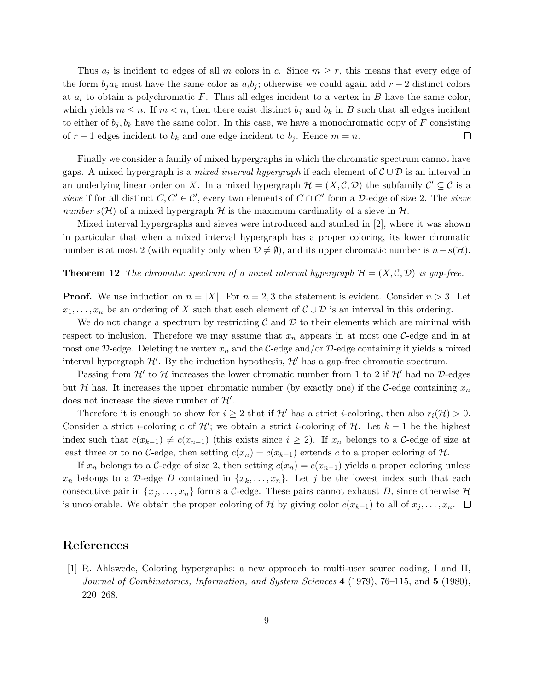Thus  $a_i$  is incident to edges of all m colors in c. Since  $m \geq r$ , this means that every edge of the form  $b_j a_k$  must have the same color as  $a_i b_j$ ; otherwise we could again add  $r-2$  distinct colors at  $a_i$  to obtain a polychromatic F. Thus all edges incident to a vertex in B have the same color, which yields  $m \leq n$ . If  $m < n$ , then there exist distinct  $b_j$  and  $b_k$  in B such that all edges incident to either of  $b_j, b_k$  have the same color. In this case, we have a monochromatic copy of F consisting of  $r-1$  edges incident to  $b_k$  and one edge incident to  $b_j$ . Hence  $m = n$ .  $\Box$ 

Finally we consider a family of mixed hypergraphs in which the chromatic spectrum cannot have gaps. A mixed hypergraph is a *mixed interval hypergraph* if each element of  $\mathcal{C} \cup \mathcal{D}$  is an interval in an underlying linear order on X. In a mixed hypergraph  $\mathcal{H} = (X, \mathcal{C}, \mathcal{D})$  the subfamily  $\mathcal{C}' \subseteq \mathcal{C}$  is a sieve if for all distinct  $C, C' \in \mathcal{C}'$ , every two elements of  $C \cap C'$  form a D-edge of size 2. The sieve number  $s(\mathcal{H})$  of a mixed hypergraph  $\mathcal{H}$  is the maximum cardinality of a sieve in  $\mathcal{H}$ .

Mixed interval hypergraphs and sieves were introduced and studied in [2], where it was shown in particular that when a mixed interval hypergraph has a proper coloring, its lower chromatic number is at most 2 (with equality only when  $\mathcal{D} \neq \emptyset$ ), and its upper chromatic number is  $n-s(\mathcal{H})$ .

#### **Theorem 12** The chromatic spectrum of a mixed interval hypergraph  $\mathcal{H} = (X, \mathcal{C}, \mathcal{D})$  is gap-free.

**Proof.** We use induction on  $n = |X|$ . For  $n = 2, 3$  the statement is evident. Consider  $n > 3$ . Let  $x_1, \ldots, x_n$  be an ordering of X such that each element of  $\mathcal{C} \cup \mathcal{D}$  is an interval in this ordering.

We do not change a spectrum by restricting  $\mathcal C$  and  $\mathcal D$  to their elements which are minimal with respect to inclusion. Therefore we may assume that  $x_n$  appears in at most one C-edge and in at most one  $\mathcal{D}$ -edge. Deleting the vertex  $x_n$  and the  $\mathcal{C}$ -edge and/or  $\mathcal{D}$ -edge containing it yields a mixed interval hypergraph  $\mathcal{H}'$ . By the induction hypothesis,  $\mathcal{H}'$  has a gap-free chromatic spectrum.

Passing from  $\mathcal{H}'$  to  $\mathcal{H}$  increases the lower chromatic number from 1 to 2 if  $\mathcal{H}'$  had no D-edges but H has. It increases the upper chromatic number (by exactly one) if the C-edge containing  $x_n$ does not increase the sieve number of  $\mathcal{H}'$ .

Therefore it is enough to show for  $i \geq 2$  that if  $\mathcal{H}'$  has a strict *i*-coloring, then also  $r_i(\mathcal{H}) > 0$ . Consider a strict *i*-coloring c of  $\mathcal{H}'$ ; we obtain a strict *i*-coloring of  $\mathcal{H}$ . Let  $k-1$  be the highest index such that  $c(x_{k-1}) \neq c(x_{n-1})$  (this exists since  $i \geq 2$ ). If  $x_n$  belongs to a C-edge of size at least three or to no C-edge, then setting  $c(x_n) = c(x_{k-1})$  extends c to a proper coloring of H.

If  $x_n$  belongs to a C-edge of size 2, then setting  $c(x_n) = c(x_{n-1})$  yields a proper coloring unless  $x_n$  belongs to a D-edge D contained in  $\{x_k, \ldots, x_n\}$ . Let j be the lowest index such that each consecutive pair in  $\{x_j, \ldots, x_n\}$  forms a C-edge. These pairs cannot exhaust D, since otherwise H is uncolorable. We obtain the proper coloring of H by giving color  $c(x_{k-1})$  to all of  $x_j, \ldots, x_n$ . □

## References

[1] R. Ahlswede, Coloring hypergraphs: a new approach to multi-user source coding, I and II, Journal of Combinatorics, Information, and System Sciences 4 (1979), 76–115, and 5 (1980), 220–268.